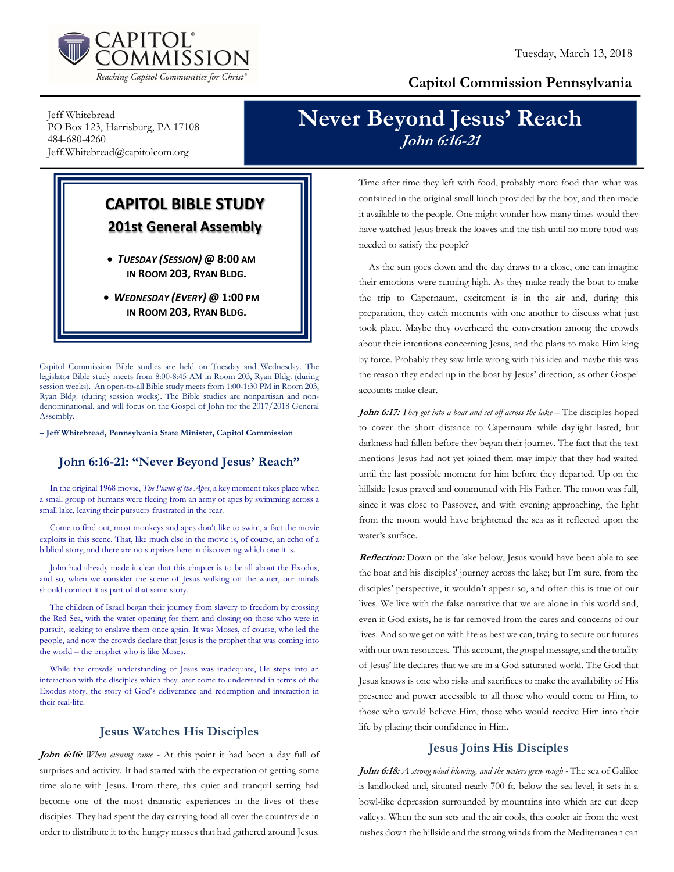

### Capitol Commission Pennsylvania

Jeff Whitebread PO Box 123, Harrisburg, PA 17108 484-680-4260 Jeff.Whitebread@capitolcom.org

# Never Beyond Jesus' Reach John 6:16-21

## CAPITOL BIBLE STUDY 201st General Assembly

 TUESDAY (SESSION) @ 8:00 AM IN ROOM 203, RYAN BLDG.

• WEDNESDAY (EVERY) @ 1:00 PM IN ROOM 203, RYAN BLDG.

Capitol Commission Bible studies are held on Tuesday and Wednesday. The legislator Bible study meets from 8:00-8:45 AM in Room 203, Ryan Bldg. (during session weeks). An open-to-all Bible study meets from 1:00-1:30 PM in Room 203, Ryan Bldg. (during session weeks). The Bible studies are nonpartisan and nondenominational, and will focus on the Gospel of John for the 2017/2018 General Assembly.

– Jeff Whitebread, Pennsylvania State Minister, Capitol Commission

#### John 6:16-21: "Never Beyond Jesus' Reach"

In the original 1968 movie, The Planet of the Apes, a key moment takes place when a small group of humans were fleeing from an army of apes by swimming across a small lake, leaving their pursuers frustrated in the rear.

Come to find out, most monkeys and apes don't like to swim, a fact the movie exploits in this scene. That, like much else in the movie is, of course, an echo of a biblical story, and there are no surprises here in discovering which one it is.

John had already made it clear that this chapter is to be all about the Exodus, and so, when we consider the scene of Jesus walking on the water, our minds should connect it as part of that same story.

The children of Israel began their journey from slavery to freedom by crossing the Red Sea, with the water opening for them and closing on those who were in pursuit, seeking to enslave them once again. It was Moses, of course, who led the people, and now the crowds declare that Jesus is the prophet that was coming into the world – the prophet who is like Moses.

While the crowds' understanding of Jesus was inadequate, He steps into an interaction with the disciples which they later come to understand in terms of the Exodus story, the story of God's deliverance and redemption and interaction in their real-life.

#### Jesus Watches His Disciples

John 6:16: When evening came - At this point it had been a day full of surprises and activity. It had started with the expectation of getting some time alone with Jesus. From there, this quiet and tranquil setting had become one of the most dramatic experiences in the lives of these disciples. They had spent the day carrying food all over the countryside in order to distribute it to the hungry masses that had gathered around Jesus.

Time after time they left with food, probably more food than what was contained in the original small lunch provided by the boy, and then made it available to the people. One might wonder how many times would they have watched Jesus break the loaves and the fish until no more food was needed to satisfy the people?

As the sun goes down and the day draws to a close, one can imagine their emotions were running high. As they make ready the boat to make the trip to Capernaum, excitement is in the air and, during this preparation, they catch moments with one another to discuss what just took place. Maybe they overheard the conversation among the crowds about their intentions concerning Jesus, and the plans to make Him king by force. Probably they saw little wrong with this idea and maybe this was the reason they ended up in the boat by Jesus' direction, as other Gospel accounts make clear.

John 6:17: They got into a boat and set off across the lake - The disciples hoped to cover the short distance to Capernaum while daylight lasted, but darkness had fallen before they began their journey. The fact that the text mentions Jesus had not yet joined them may imply that they had waited until the last possible moment for him before they departed. Up on the hillside Jesus prayed and communed with His Father. The moon was full, since it was close to Passover, and with evening approaching, the light from the moon would have brightened the sea as it reflected upon the water's surface.

Reflection: Down on the lake below, Jesus would have been able to see the boat and his disciples' journey across the lake; but I'm sure, from the disciples' perspective, it wouldn't appear so, and often this is true of our lives. We live with the false narrative that we are alone in this world and, even if God exists, he is far removed from the cares and concerns of our lives. And so we get on with life as best we can, trying to secure our futures with our own resources. This account, the gospel message, and the totality of Jesus' life declares that we are in a God-saturated world. The God that Jesus knows is one who risks and sacrifices to make the availability of His presence and power accessible to all those who would come to Him, to those who would believe Him, those who would receive Him into their life by placing their confidence in Him.

#### Jesus Joins His Disciples

John 6:18: A strong wind blowing, and the waters grew rough - The sea of Galilee is landlocked and, situated nearly 700 ft. below the sea level, it sets in a bowl-like depression surrounded by mountains into which are cut deep valleys. When the sun sets and the air cools, this cooler air from the west rushes down the hillside and the strong winds from the Mediterranean can